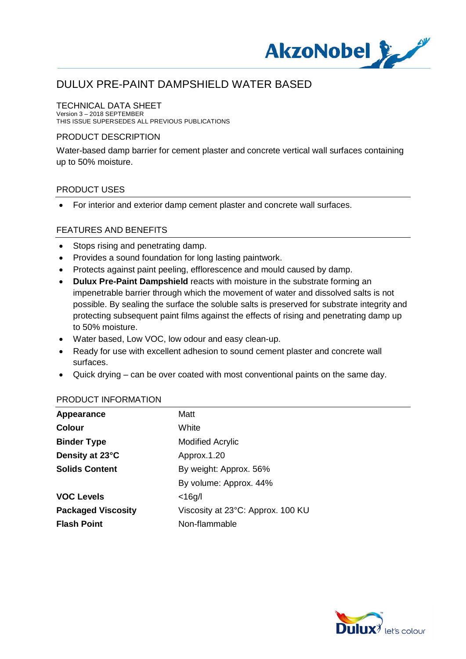

#### TECHNICAL DATA SHEET

Version 3 – 2018 SEPTEMBER THIS ISSUE SUPERSEDES ALL PREVIOUS PUBLICATIONS

#### PRODUCT DESCRIPTION

Water-based damp barrier for cement plaster and concrete vertical wall surfaces containing up to 50% moisture.

#### PRODUCT USES

· For interior and exterior damp cement plaster and concrete wall surfaces.

#### FEATURES AND BENEFITS

- Stops rising and penetrating damp.
- · Provides a sound foundation for long lasting paintwork.
- · Protects against paint peeling, efflorescence and mould caused by damp.
- · **Dulux Pre-Paint Dampshield** reacts with moisture in the substrate forming an impenetrable barrier through which the movement of water and dissolved salts is not possible. By sealing the surface the soluble salts is preserved for substrate integrity and protecting subsequent paint films against the effects of rising and penetrating damp up to 50% moisture.
- · Water based, Low VOC, low odour and easy clean-up.
- · Ready for use with excellent adhesion to sound cement plaster and concrete wall surfaces.
- · Quick drying can be over coated with most conventional paints on the same day.

#### PRODUCT INFORMATION

| Appearance                | Matt                              |
|---------------------------|-----------------------------------|
| <b>Colour</b>             | White                             |
| <b>Binder Type</b>        | <b>Modified Acrylic</b>           |
| Density at 23°C           | Approx.1.20                       |
| <b>Solids Content</b>     | By weight: Approx. 56%            |
|                           | By volume: Approx. 44%            |
| <b>VOC Levels</b>         | $<$ 16g/l                         |
| <b>Packaged Viscosity</b> | Viscosity at 23°C: Approx. 100 KU |
| <b>Flash Point</b>        | Non-flammable                     |

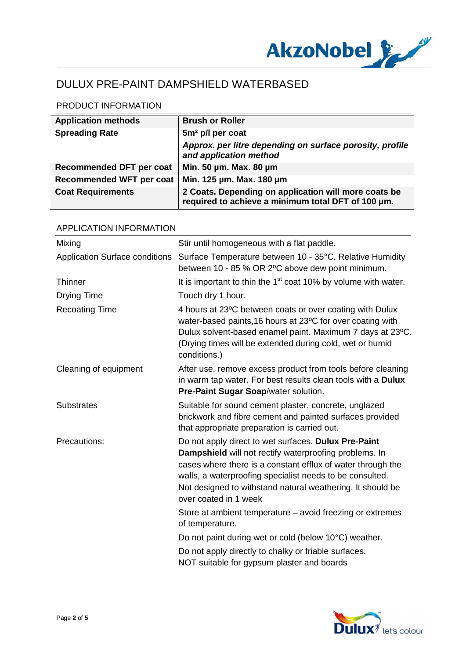

### PRODUCT INFORMATION

| <b>Application methods</b>      | <b>Brush or Roller</b>                                                                                     |
|---------------------------------|------------------------------------------------------------------------------------------------------------|
| <b>Spreading Rate</b>           | 5m <sup>2</sup> p/l per coat                                                                               |
|                                 | Approx. per litre depending on surface porosity, profile<br>and application method                         |
| <b>Recommended DFT per coat</b> | Min. 50 µm. Max. 80 µm                                                                                     |
| <b>Recommended WFT per coat</b> | Min. 125 µm. Max. 180 µm                                                                                   |
| <b>Coat Requirements</b>        | 2 Coats. Depending on application will more coats be<br>required to achieve a minimum total DFT of 100 µm. |

| <b>APPLICATION INFORMATION</b>        |                                                                                                                                                                                                                                                                                                                                  |  |
|---------------------------------------|----------------------------------------------------------------------------------------------------------------------------------------------------------------------------------------------------------------------------------------------------------------------------------------------------------------------------------|--|
| Mixing                                | Stir until homogeneous with a flat paddle.                                                                                                                                                                                                                                                                                       |  |
| <b>Application Surface conditions</b> | Surface Temperature between 10 - 35°C. Relative Humidity<br>between 10 - 85 % OR 2°C above dew point minimum.                                                                                                                                                                                                                    |  |
| <b>Thinner</b>                        | It is important to thin the 1 <sup>st</sup> coat 10% by volume with water.                                                                                                                                                                                                                                                       |  |
| <b>Drying Time</b>                    | Touch dry 1 hour.                                                                                                                                                                                                                                                                                                                |  |
| <b>Recoating Time</b>                 | 4 hours at 23°C between coats or over coating with Dulux<br>water-based paints, 16 hours at 23°C for over coating with<br>Dulux solvent-based enamel paint. Maximum 7 days at 23°C.<br>(Drying times will be extended during cold, wet or humid<br>conditions.)                                                                  |  |
| Cleaning of equipment                 | After use, remove excess product from tools before cleaning<br>in warm tap water. For best results clean tools with a Dulux<br>Pre-Paint Sugar Soap/water solution.                                                                                                                                                              |  |
| <b>Substrates</b>                     | Suitable for sound cement plaster, concrete, unglazed<br>brickwork and fibre cement and painted surfaces provided<br>that appropriate preparation is carried out.                                                                                                                                                                |  |
| Precautions:                          | Do not apply direct to wet surfaces. Dulux Pre-Paint<br>Dampshield will not rectify waterproofing problems. In<br>cases where there is a constant efflux of water through the<br>walls, a waterproofing specialist needs to be consulted.<br>Not designed to withstand natural weathering. It should be<br>over coated in 1 week |  |
|                                       | Store at ambient temperature – avoid freezing or extremes<br>of temperature.                                                                                                                                                                                                                                                     |  |
|                                       | Do not paint during wet or cold (below 10°C) weather.                                                                                                                                                                                                                                                                            |  |
|                                       | Do not apply directly to chalky or friable surfaces.<br>NOT suitable for gypsum plaster and boards                                                                                                                                                                                                                               |  |

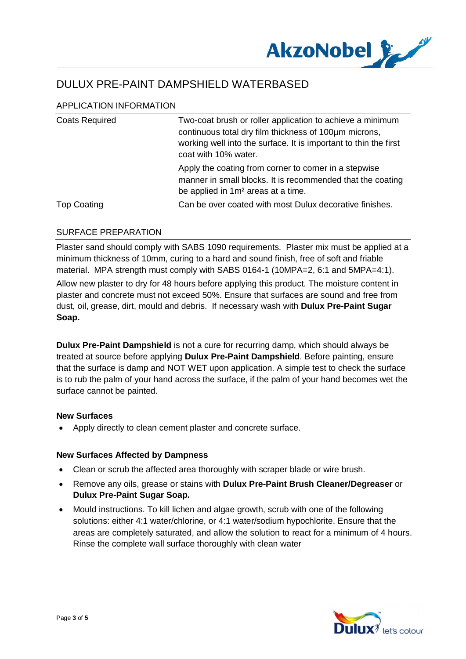

### APPLICATION INFORMATION

| <b>Coats Required</b> | Two-coat brush or roller application to achieve a minimum<br>continuous total dry film thickness of 100um microns,<br>working well into the surface. It is important to thin the first<br>coat with 10% water. |
|-----------------------|----------------------------------------------------------------------------------------------------------------------------------------------------------------------------------------------------------------|
|                       | Apply the coating from corner to corner in a stepwise<br>manner in small blocks. It is recommended that the coating<br>be applied in 1m <sup>2</sup> areas at a time.                                          |
| <b>Top Coating</b>    | Can be over coated with most Dulux decorative finishes.                                                                                                                                                        |

#### SURFACE PREPARATION

Plaster sand should comply with SABS 1090 requirements. Plaster mix must be applied at a minimum thickness of 10mm, curing to a hard and sound finish, free of soft and friable material. MPA strength must comply with SABS 0164-1 (10MPA=2, 6:1 and 5MPA=4:1).

Allow new plaster to dry for 48 hours before applying this product. The moisture content in plaster and concrete must not exceed 50%. Ensure that surfaces are sound and free from dust, oil, grease, dirt, mould and debris. If necessary wash with **Dulux Pre-Paint Sugar Soap.**

**Dulux Pre-Paint Dampshield** is not a cure for recurring damp, which should always be treated at source before applying **Dulux Pre-Paint Dampshield**. Before painting, ensure that the surface is damp and NOT WET upon application. A simple test to check the surface is to rub the palm of your hand across the surface, if the palm of your hand becomes wet the surface cannot be painted.

#### **New Surfaces**

Apply directly to clean cement plaster and concrete surface.

#### **New Surfaces Affected by Dampness**

- · Clean or scrub the affected area thoroughly with scraper blade or wire brush.
- · Remove any oils, grease or stains with **Dulux Pre-Paint Brush Cleaner/Degreaser** or **Dulux Pre-Paint Sugar Soap.**
- · Mould instructions. To kill lichen and algae growth, scrub with one of the following solutions: either 4:1 water/chlorine, or 4:1 water/sodium hypochlorite. Ensure that the areas are completely saturated, and allow the solution to react for a minimum of 4 hours. Rinse the complete wall surface thoroughly with clean water

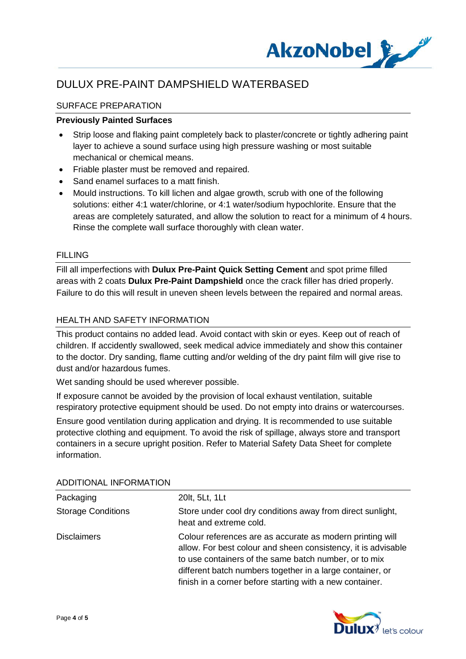

### SURFACE PREPARATION

#### **Previously Painted Surfaces**

- Strip loose and flaking paint completely back to plaster/concrete or tightly adhering paint layer to achieve a sound surface using high pressure washing or most suitable mechanical or chemical means.
- · Friable plaster must be removed and repaired.
- · Sand enamel surfaces to a matt finish.
- · Mould instructions. To kill lichen and algae growth, scrub with one of the following solutions: either 4:1 water/chlorine, or 4:1 water/sodium hypochlorite. Ensure that the areas are completely saturated, and allow the solution to react for a minimum of 4 hours. Rinse the complete wall surface thoroughly with clean water.

#### FILLING

Fill all imperfections with **Dulux Pre-Paint Quick Setting Cement** and spot prime filled areas with 2 coats **Dulux Pre-Paint Dampshield** once the crack filler has dried properly. Failure to do this will result in uneven sheen levels between the repaired and normal areas.

#### HEALTH AND SAFETY INFORMATION

This product contains no added lead. Avoid contact with skin or eyes. Keep out of reach of children. If accidently swallowed, seek medical advice immediately and show this container to the doctor. Dry sanding, flame cutting and/or welding of the dry paint film will give rise to dust and/or hazardous fumes.

Wet sanding should be used wherever possible.

If exposure cannot be avoided by the provision of local exhaust ventilation, suitable respiratory protective equipment should be used. Do not empty into drains or watercourses.

Ensure good ventilation during application and drying. It is recommended to use suitable protective clothing and equipment. To avoid the risk of spillage, always store and transport containers in a secure upright position. Refer to Material Safety Data Sheet for complete information.

| Packaging                 | 20lt, 5Lt, 1Lt                                                                                                                                                                                                                                                                                               |
|---------------------------|--------------------------------------------------------------------------------------------------------------------------------------------------------------------------------------------------------------------------------------------------------------------------------------------------------------|
| <b>Storage Conditions</b> | Store under cool dry conditions away from direct sunlight,<br>heat and extreme cold.                                                                                                                                                                                                                         |
| <b>Disclaimers</b>        | Colour references are as accurate as modern printing will<br>allow. For best colour and sheen consistency, it is advisable<br>to use containers of the same batch number, or to mix<br>different batch numbers together in a large container, or<br>finish in a corner before starting with a new container. |

#### ADDITIONAL INFORMATION